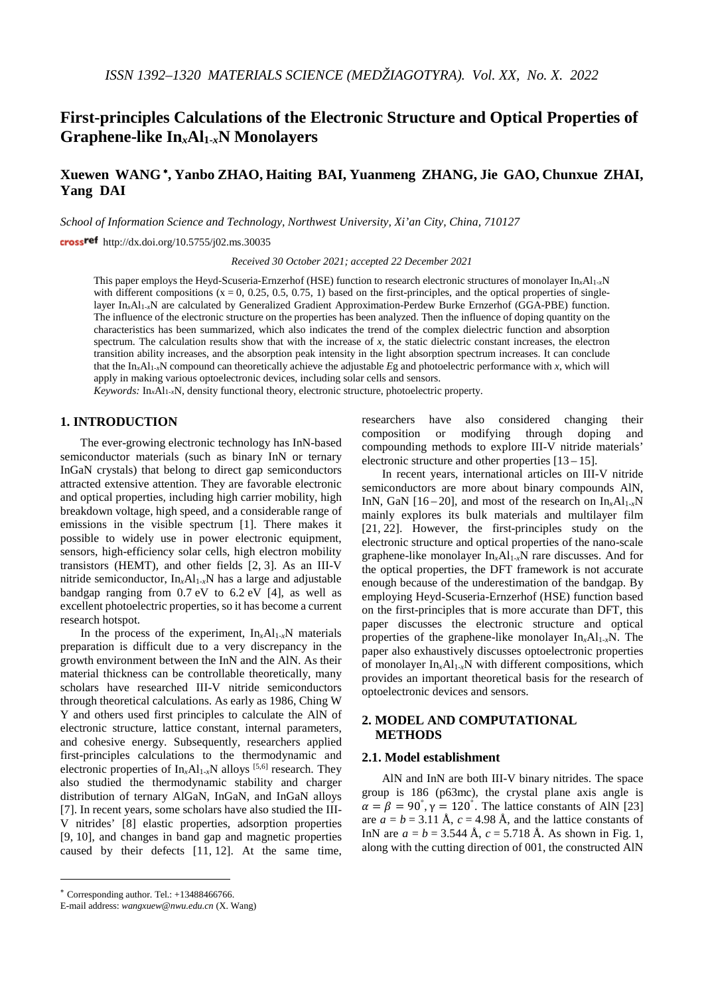# **First-principles Calculations of the Electronic Structure and Optical Properties of Graphene-like In***x***Al1-***x***N Monolayers**

## **Xuewen WANG** <sup>∗</sup>**, Yanbo ZHAO, Haiting BAI, Yuanmeng ZHANG, Jie GAO, Chunxue ZHAI, Yang DAI**

*School of Information Science and Technology, Northwest University, Xi'an City, China, 710127*

cross<sup>ref</sup> http://dx.doi.org/10.5755/j02.ms.30035

*Received 30 October 2021; accepted 22 December 2021*

This paper employs the Heyd-Scuseria-Ernzerhof (HSE) function to research electronic structures of monolayer In*x*Al1-*x*N with different compositions  $(x = 0, 0.25, 0.5, 0.75, 1)$  based on the first-principles, and the optical properties of singlelayer In*x*Al1-*x*N are calculated by Generalized Gradient Approximation-Perdew Burke Ernzerhof (GGA-PBE) function. The influence of the electronic structure on the properties has been analyzed. Then the influence of doping quantity on the characteristics has been summarized, which also indicates the trend of the complex dielectric function and absorption spectrum. The calculation results show that with the increase of  $x$ , the static dielectric constant increases, the electron transition ability increases, and the absorption peak intensity in the light absorption spectrum increases. It can conclude that the In*x*Al1-*x*N compound can theoretically achieve the adjustable *E*g and photoelectric performance with *x*, which will apply in making various optoelectronic devices, including solar cells and sensors.

*Keywords:* In*x*Al1*-x*N, density functional theory, electronic structure, photoelectric property.

## **1. INTRODUCTION**[∗](#page-0-0)

The ever-growing electronic technology has InN-based semiconductor materials (such as binary InN or ternary InGaN crystals) that belong to direct gap semiconductors attracted extensive attention. They are favorable electronic and optical properties, including high carrier mobility, high breakdown voltage, high speed, and a considerable range of emissions in the visible spectrum [1]. There makes it possible to widely use in power electronic equipment, sensors, high-efficiency solar cells, high electron mobility transistors (HEMT), and other fields [2, 3]. As an III-V nitride semiconductor, In*x*Al1*-x*N has a large and adjustable bandgap ranging from 0.7 eV to 6.2 eV [4], as well as excellent photoelectric properties, so it has become a current research hotspot.

In the process of the experiment,  $In_{r}Al_{1-r}N$  materials preparation is difficult due to a very discrepancy in the growth environment between the InN and the AlN. As their material thickness can be controllable theoretically, many scholars have researched III-V nitride semiconductors through theoretical calculations. As early as 1986, Ching W Y and others used first principles to calculate the AlN of electronic structure, lattice constant, internal parameters, and cohesive energy. Subsequently, researchers applied first-principles calculations to the thermodynamic and electronic properties of  $In_xAl_{1-x}N$  alloys <sup>[5,6]</sup> research. They also studied the thermodynamic stability and charger distribution of ternary AlGaN, InGaN, and InGaN alloys [7]. In recent years, some scholars have also studied the III-V nitrides' [8] elastic properties, adsorption properties [9, 10], and changes in band gap and magnetic properties caused by their defects [11, 12]. At the same time,

<u>.</u>

researchers have also considered changing their composition or modifying through doping and compounding methods to explore III-V nitride materials' electronic structure and other properties  $[13 - 15]$ .

In recent years, international articles on III-V nitride semiconductors are more about binary compounds AlN, InN, GaN  $[16-20]$ , and most of the research on  $In_{r}Al_{1-r}N$ mainly explores its bulk materials and multilayer film [21, 22]. However, the first-principles study on the electronic structure and optical properties of the nano-scale graphene-like monolayer In*x*Al1-*x*N rare discusses. And for the optical properties, the DFT framework is not accurate enough because of the underestimation of the bandgap. By employing Heyd-Scuseria-Ernzerhof (HSE) function based on the first-principles that is more accurate than DFT, this paper discusses the electronic structure and optical properties of the graphene-like monolayer In*x*Al1-*x*N. The paper also exhaustively discusses optoelectronic properties of monolayer In*x*Al1-*x*N with different compositions, which provides an important theoretical basis for the research of optoelectronic devices and sensors.

## **2. MODEL AND COMPUTATIONAL METHODS**

### **2.1. Model establishment**

AlN and InN are both III-V binary nitrides. The space group is 186 (p63mc), the crystal plane axis angle is  $\alpha = \beta = 90^{\circ}, \gamma = 120^{\circ}$ . The lattice constants of AlN [23] are  $a = b = 3.11 \text{ Å}$ ,  $c = 4.98 \text{ Å}$ , and the lattice constants of InN are  $a = b = 3.544 \text{ Å}$ ,  $c = 5.718 \text{ Å}$ . As shown in Fig. 1, along with the cutting direction of 001, the constructed AlN

<span id="page-0-0"></span><sup>∗</sup> Corresponding author. Tel.: +13488466766.

E-mail address: *wangxuew@nwu.edu.cn* (X. Wang)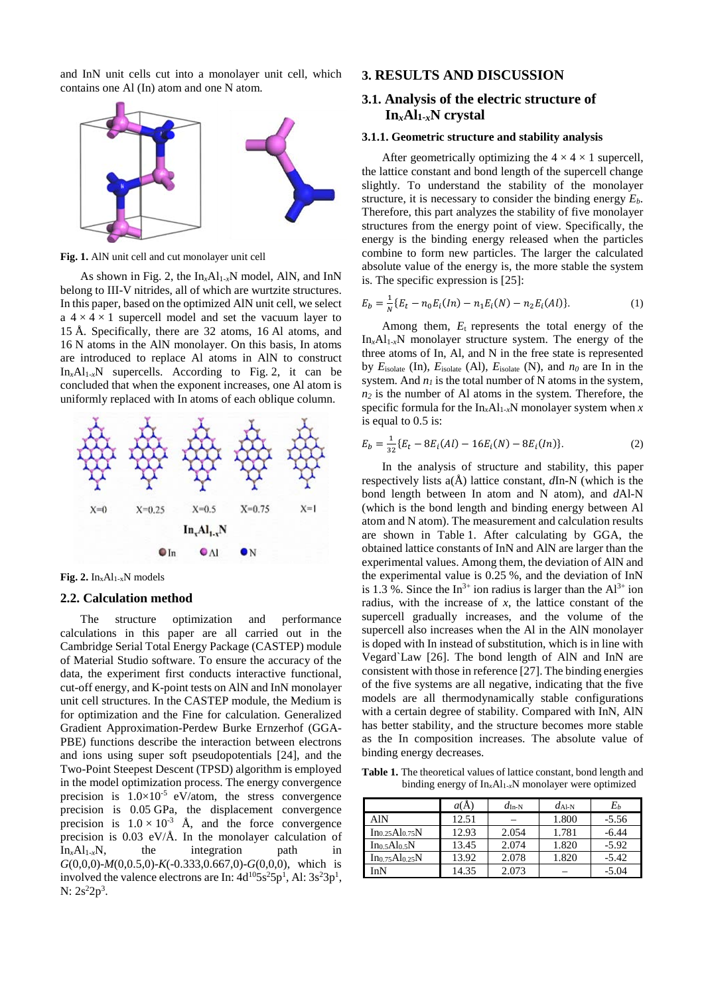and InN unit cells cut into a monolayer unit cell, which contains one Al (In) atom and one N atom.



**Fig. 1.** AlN unit cell and cut monolayer unit cell

As shown in Fig. 2, the  $In_xAl_{1-x}N$  model, AlN, and InN belong to III-V nitrides, all of which are wurtzite structures. In this paper, based on the optimized AlN unit cell, we select a  $4 \times 4 \times 1$  supercell model and set the vacuum layer to 15 Å. Specifically, there are 32 atoms, 16 Al atoms, and 16 N atoms in the AlN monolayer. On this basis, In atoms are introduced to replace Al atoms in AlN to construct  $In_xAl_{1-x}N$  supercells. According to Fig. 2, it can be concluded that when the exponent increases, one Al atom is uniformly replaced with In atoms of each oblique column.



**Fig.** 2.  $In_xAl_{1-x}N$  models

#### **2.2. Calculation method**

The structure optimization and performance calculations in this paper are all carried out in the Cambridge Serial Total Energy Package (CASTEP) module of Material Studio software. To ensure the accuracy of the data, the experiment first conducts interactive functional, cut-off energy, and K-point tests on AlN and InN monolayer unit cell structures. In the CASTEP module, the Medium is for optimization and the Fine for calculation. Generalized Gradient Approximation-Perdew Burke Ernzerhof (GGA-PBE) functions describe the interaction between electrons and ions using super soft pseudopotentials [24], and the Two-Point Steepest Descent (TPSD) algorithm is employed in the model optimization process. The energy convergence precision is  $1.0 \times 10^{-5}$  eV/atom, the stress convergence precision is 0.05 GPa, the displacement convergence precision is  $1.0 \times 10^{-3}$  Å, and the force convergence precision is  $0.03$  eV/Å. In the monolayer calculation of  $In_xAl_{1-x}N$ , the integration path in *G*(0,0,0)-*M*(0,0.5,0)-*K*(-0.333,0.667,0)-*G*(0,0,0), which is involved the valence electrons are In:  $4d^{10}5s^25p^1$ , Al:  $3s^23p^1$ ,  $N: 2s^22p^3$ .

## **3. RESULTS AND DISCUSSION**

## **3.1. Analysis of the electric structure of In***x***Al1-***x***N crystal**

#### **3.1.1. Geometric structure and stability analysis**

After geometrically optimizing the  $4 \times 4 \times 1$  supercell, the lattice constant and bond length of the supercell change slightly. To understand the stability of the monolayer structure, it is necessary to consider the binding energy  $E<sub>b</sub>$ . Therefore, this part analyzes the stability of five monolayer structures from the energy point of view. Specifically, the energy is the binding energy released when the particles combine to form new particles. The larger the calculated absolute value of the energy is, the more stable the system is. The specific expression is [25]:

$$
E_b = \frac{1}{N} \{ E_t - n_0 E_i(\ln) - n_1 E_i(N) - n_2 E_i(\ln l) \}.
$$
 (1)

Among them, *E*t represents the total energy of the  $In_xAl_{1-x}N$  monolayer structure system. The energy of the three atoms of In, Al, and N in the free state is represented by *E*isolate (In), *E*isolate (Al), *E*isolate (N), and *n0* are In in the system. And  $n_l$  is the total number of N atoms in the system,  $n_2$  is the number of Al atoms in the system. Therefore, the specific formula for the  $In_xAl_{1-x}N$  monolayer system when *x* is equal to 0.5 is:

$$
E_b = \frac{1}{32} \{ E_t - 8E_i(Al) - 16E_i(N) - 8E_i(In) \}.
$$
 (2)

In the analysis of structure and stability, this paper respectively lists a(Å) lattice constant, *d*In-N (which is the bond length between In atom and N atom), and *d*Al-N (which is the bond length and binding energy between Al atom and N atom). The measurement and calculation results are shown in Table 1. After calculating by GGA, the obtained lattice constants of InN and AlN are larger than the experimental values. Among them, the deviation of AlN and the experimental value is 0.25 %, and the deviation of InN is 1.3 %. Since the In<sup>3+</sup> ion radius is larger than the  $Al^{3+}$  ion radius, with the increase of *x*, the lattice constant of the supercell gradually increases, and the volume of the supercell also increases when the Al in the AlN monolayer is doped with In instead of substitution, which is in line with Vegard`Law [26]. The bond length of AlN and InN are consistent with those in reference [27]. The binding energies of the five systems are all negative, indicating that the five models are all thermodynamically stable configurations with a certain degree of stability. Compared with InN, AlN has better stability, and the structure becomes more stable as the In composition increases. The absolute value of binding energy decreases.

**Table 1.** The theoretical values of lattice constant, bond length and binding energy of In*x*Al1-*x*N monolayer were optimized

|               | a(A)  | $d_{\text{In-N}}$ | $d_{Al-N}$ | Eь      |
|---------------|-------|-------------------|------------|---------|
| AlN           | 12.51 |                   | 1.800      | $-5.56$ |
| Ino.25Alo.75N | 12.93 | 2.054             | 1.781      | $-6.44$ |
| Ino.5Alo.5N   | 13.45 | 2.074             | 1.820      | $-5.92$ |
| Ino.75Alo.25N | 13.92 | 2.078             | 1.820      | $-5.42$ |
| ſnΝ           | 14.35 | 2.073             |            | -5.04   |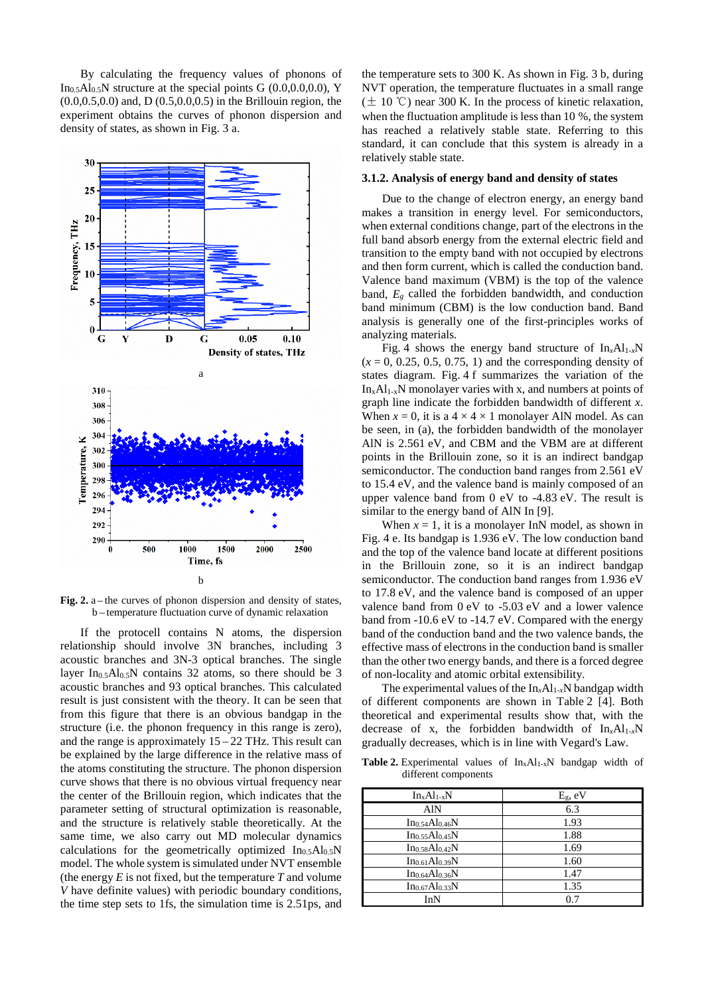By calculating the frequency values of phonons of In<sub>0.5</sub>Al<sub>0.5</sub>N structure at the special points G  $(0.0,0.0,0.0)$ , Y (0.0,0.5,0.0) and, D (0.5,0.0,0.5) in the Brillouin region, the experiment obtains the curves of phonon dispersion and density of states, as shown in Fig. 3 a.



Fig. 2. a – the curves of phonon dispersion and density of states, b – temperature fluctuation curve of dynamic relaxation

If the protocell contains N atoms, the dispersion relationship should involve 3N branches, including 3 acoustic branches and 3N-3 optical branches. The single layer In<sub>0.5</sub>Al<sub>0.5</sub>N contains 32 atoms, so there should be 3 acoustic branches and 93 optical branches. This calculated result is just consistent with the theory. It can be seen that from this figure that there is an obvious bandgap in the structure (i.e. the phonon frequency in this range is zero), and the range is approximately 15 – 22 THz. This result can be explained by the large difference in the relative mass of the atoms constituting the structure. The phonon dispersion curve shows that there is no obvious virtual frequency near the center of the Brillouin region, which indicates that the parameter setting of structural optimization is reasonable, and the structure is relatively stable theoretically. At the same time, we also carry out MD molecular dynamics calculations for the geometrically optimized  $In<sub>0.5</sub>Al<sub>0.5</sub>N$ model. The whole system is simulated under NVT ensemble (the energy *E* is not fixed, but the temperature *T* and volume *V* have definite values) with periodic boundary conditions, the time step sets to 1fs, the simulation time is 2.51ps, and the temperature sets to 300 K. As shown in Fig. 3 b, during NVT operation, the temperature fluctuates in a small range  $(\pm 10 \degree C)$  near 300 K. In the process of kinetic relaxation, when the fluctuation amplitude is less than 10 %, the system has reached a relatively stable state. Referring to this standard, it can conclude that this system is already in a relatively stable state.

#### **3.1.2. Analysis of energy band and density of states**

Due to the change of electron energy, an energy band makes a transition in energy level. For semiconductors, when external conditions change, part of the electrons in the full band absorb energy from the external electric field and transition to the empty band with not occupied by electrons and then form current, which is called the conduction band. Valence band maximum (VBM) is the top of the valence band, *Eg* called the forbidden bandwidth, and conduction band minimum (CBM) is the low conduction band. Band analysis is generally one of the first-principles works of analyzing materials.

Fig. 4 shows the energy band structure of  $In_xAl_{1-x}N$  $(x = 0, 0.25, 0.5, 0.75, 1)$  and the corresponding density of states diagram. Fig. 4 f summarizes the variation of the  $In_xAl_{1-x}N$  monolayer varies with x, and numbers at points of graph line indicate the forbidden bandwidth of different *x*. When  $x = 0$ , it is a  $4 \times 4 \times 1$  monolayer AlN model. As can be seen, in (a), the forbidden bandwidth of the monolayer AlN is 2.561 eV, and CBM and the VBM are at different points in the Brillouin zone, so it is an indirect bandgap semiconductor. The conduction band ranges from 2.561 eV to 15.4 eV, and the valence band is mainly composed of an upper valence band from 0 eV to -4.83 eV. The result is similar to the energy band of AlN In [9].

When  $x = 1$ , it is a monolayer InN model, as shown in Fig. 4 e. Its bandgap is 1.936 eV. The low conduction band and the top of the valence band locate at different positions in the Brillouin zone, so it is an indirect bandgap semiconductor. The conduction band ranges from 1.936 eV to 17.8 eV, and the valence band is composed of an upper valence band from 0 eV to -5.03 eV and a lower valence band from -10.6 eV to -14.7 eV. Compared with the energy band of the conduction band and the two valence bands, the effective mass of electrons in the conduction band is smaller than the other two energy bands, and there is a forced degree of non-locality and atomic orbital extensibility.

The experimental values of the  $In_xAl_{1-x}N$  bandgap width of different components are shown in Table 2 [4]. Both theoretical and experimental results show that, with the decrease of x, the forbidden bandwidth of  $In_xAl_{1-x}N$ gradually decreases, which is in line with Vegard's Law.

**Table 2.** Experimental values of InxAl1-xN bandgap width of different components

| $In_xAl_{1-x}N$            | $E_g$ , eV |  |
|----------------------------|------------|--|
| AlN                        | 6.3        |  |
| $In_{0.54}Al_{0.46}N$      | 1.93       |  |
| Ino.55Alo.45N              | 1.88       |  |
| $In_{0.58}Al_{0.42}N$      | 1.69       |  |
| $In_{0.61}Al_{0.39}N$      | 1.60       |  |
| $In_{0.64}Al_{0.36}N$      | 1.47       |  |
| Ino.67Al <sub>0.33</sub> N | 1.35       |  |
| InN                        | 0.7        |  |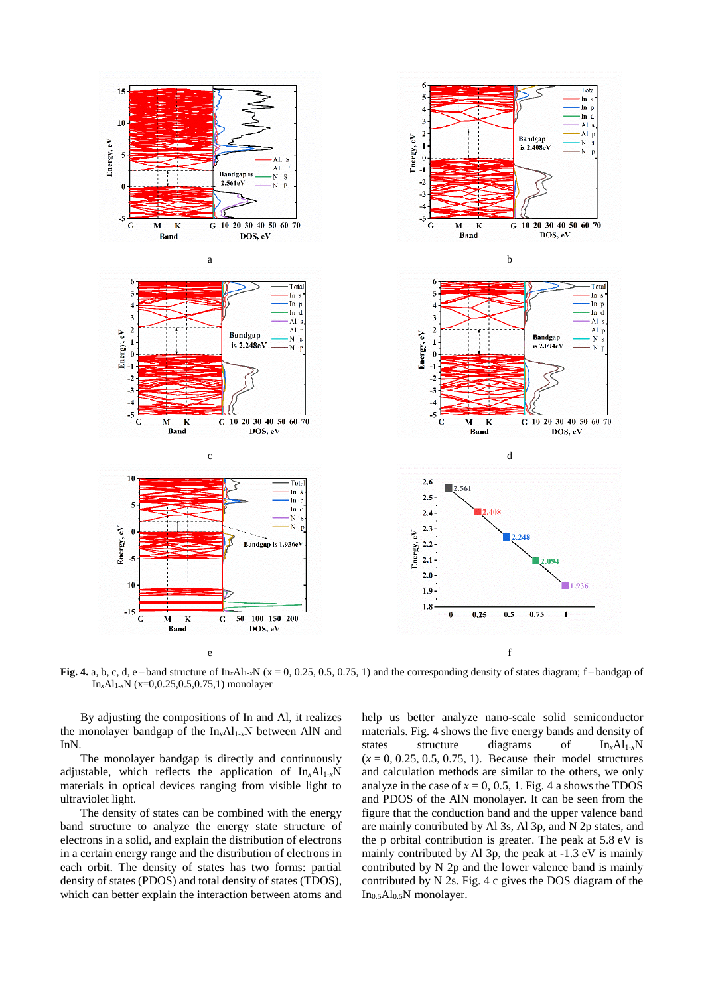

**Fig.** 4. a, b, c, d, e – band structure of  $\text{In}_x\text{Al}_{1-x}\text{N}$  (x = 0, 0.25, 0.5, 0.75, 1) and the corresponding density of states diagram; f – bandgap of In*x*Al1-*x*N (x=0,0.25,0.5,0.75,1) monolayer

By adjusting the compositions of In and Al, it realizes the monolayer bandgap of the In*x*Al1-*x*N between AlN and InN.

The monolayer bandgap is directly and continuously adjustable, which reflects the application of  $In_xAl_{1-x}N$ materials in optical devices ranging from visible light to ultraviolet light.

The density of states can be combined with the energy band structure to analyze the energy state structure of electrons in a solid, and explain the distribution of electrons in a certain energy range and the distribution of electrons in each orbit. The density of states has two forms: partial density of states (PDOS) and total density of states (TDOS), which can better explain the interaction between atoms and

help us better analyze nano-scale solid semiconductor materials. Fig. 4 shows the five energy bands and density of states structure diagrams of  $In_xAl_{1-x}N$  $(x = 0, 0.25, 0.5, 0.75, 1)$ . Because their model structures and calculation methods are similar to the others, we only analyze in the case of  $x = 0$ , 0.5, 1. Fig. 4 a shows the TDOS and PDOS of the AlN monolayer. It can be seen from the figure that the conduction band and the upper valence band are mainly contributed by Al 3s, Al 3p, and N 2p states, and the p orbital contribution is greater. The peak at 5.8 eV is mainly contributed by Al 3p, the peak at -1.3 eV is mainly contributed by N 2p and the lower valence band is mainly contributed by N 2s. Fig. 4 c gives the DOS diagram of the In0.5Al0.5N monolayer.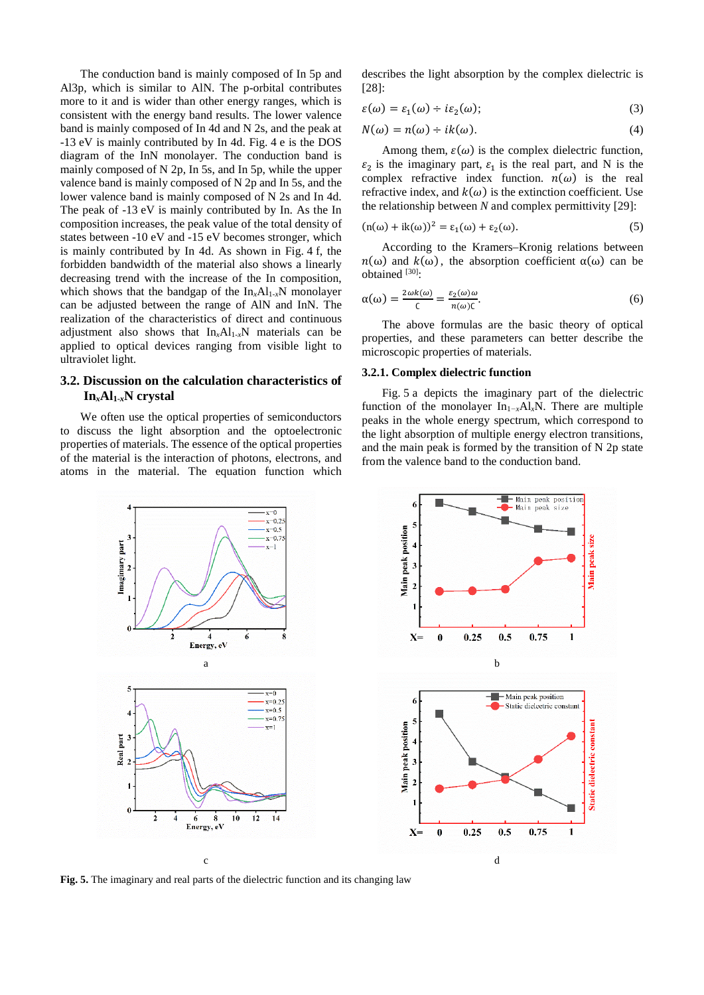The conduction band is mainly composed of In 5p and Al3p, which is similar to AlN. The p-orbital contributes more to it and is wider than other energy ranges, which is consistent with the energy band results. The lower valence band is mainly composed of In 4d and N 2s, and the peak at -13 eV is mainly contributed by In 4d. Fig. 4 e is the DOS diagram of the InN monolayer. The conduction band is mainly composed of N 2p, In 5s, and In 5p, while the upper valence band is mainly composed of N 2p and In 5s, and the lower valence band is mainly composed of N 2s and In 4d. The peak of -13 eV is mainly contributed by In. As the In composition increases, the peak value of the total density of states between -10 eV and -15 eV becomes stronger, which is mainly contributed by In 4d. As shown in Fig. 4 f, the forbidden bandwidth of the material also shows a linearly decreasing trend with the increase of the In composition, which shows that the bandgap of the  $In_xAl_{1-x}N$  monolayer can be adjusted between the range of AlN and InN. The realization of the characteristics of direct and continuous adjustment also shows that  $In<sub>x</sub>Al<sub>1-x</sub>N$  materials can be applied to optical devices ranging from visible light to ultraviolet light.

### **3.2. Discussion on the calculation characteristics of In***x***Al1-***x***N crystal**

We often use the optical properties of semiconductors to discuss the light absorption and the optoelectronic properties of materials. The essence of the optical properties of the material is the interaction of photons, electrons, and atoms in the material. The equation function which

describes the light absorption by the complex dielectric is  $[28]$ 

$$
\varepsilon(\omega) = \varepsilon_1(\omega) \div i\varepsilon_2(\omega); \tag{3}
$$

$$
N(\omega) = n(\omega) \div ik(\omega). \tag{4}
$$

Among them,  $\varepsilon(\omega)$  is the complex dielectric function,  $\varepsilon_2$  is the imaginary part,  $\varepsilon_1$  is the real part, and N is the complex refractive index function.  $n(\omega)$  is the real refractive index, and  $k(\omega)$  is the extinction coefficient. Use the relationship between *N* and complex permittivity [29]:

$$
(\mathbf{n}(\omega) + \mathrm{i}\mathbf{k}(\omega))^2 = \varepsilon_1(\omega) + \varepsilon_2(\omega). \tag{5}
$$

According to the Kramers–Kronig relations between  $n(\omega)$  and  $k(\omega)$ , the absorption coefficient  $\alpha(\omega)$  can be obtained [30]:

$$
\alpha(\omega) = \frac{2\omega k(\omega)}{c} = \frac{\varepsilon_2(\omega)\omega}{n(\omega)c}.\tag{6}
$$

The above formulas are the basic theory of optical properties, and these parameters can better describe the microscopic properties of materials.

#### **3.2.1. Complex dielectric function**

Fig. 5 a depicts the imaginary part of the dielectric function of the monolayer In1*−x*Al*x*N. There are multiple peaks in the whole energy spectrum, which correspond to the light absorption of multiple energy electron transitions, and the main peak is formed by the transition of N 2p state from the valence band to the conduction band.



**Fig. 5.** The imaginary and real parts of the dielectric function and its changing law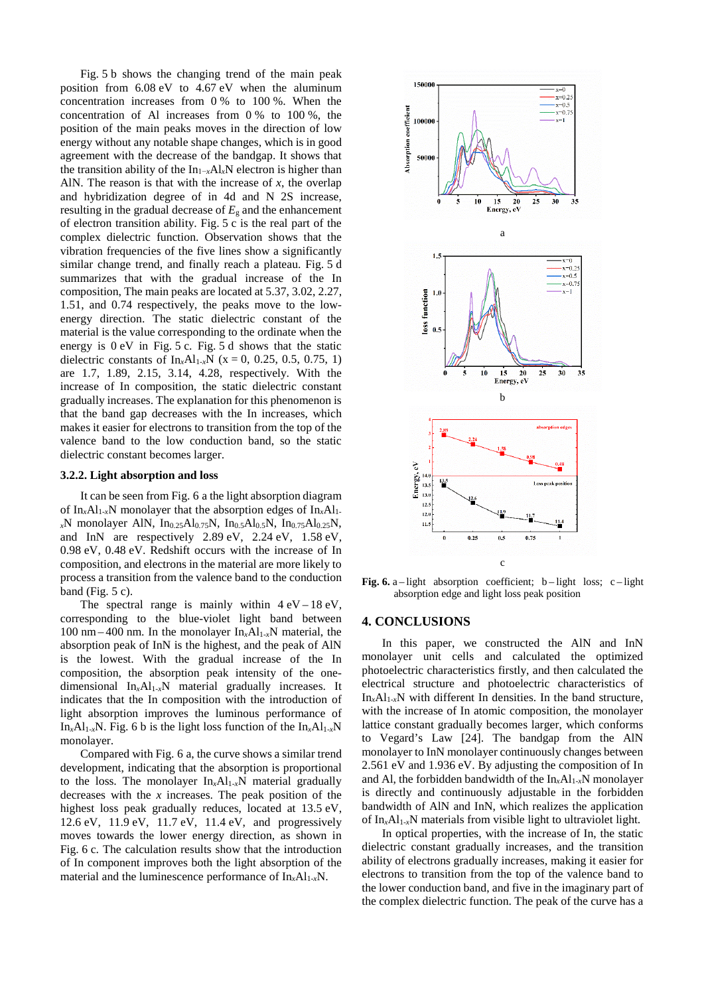Fig. 5 b shows the changing trend of the main peak position from 6.08 eV to 4.67 eV when the aluminum concentration increases from 0 % to 100 %. When the concentration of Al increases from 0 % to 100 %, the position of the main peaks moves in the direction of low energy without any notable shape changes, which is in good agreement with the decrease of the bandgap. It shows that the transition ability of the In1−*x*Al*x*N electron is higher than AlN. The reason is that with the increase of *x*, the overlap and hybridization degree of in 4d and N 2S increase, resulting in the gradual decrease of  $E<sub>g</sub>$  and the enhancement of electron transition ability. Fig. 5 c is the real part of the complex dielectric function. Observation shows that the vibration frequencies of the five lines show a significantly similar change trend, and finally reach a plateau. Fig. 5 d summarizes that with the gradual increase of the In composition, The main peaks are located at 5.37, 3.02, 2.27, 1.51, and 0.74 respectively, the peaks move to the lowenergy direction. The static dielectric constant of the material is the value corresponding to the ordinate when the energy is 0 eV in Fig. 5 c. Fig. 5 d shows that the static dielectric constants of  $In_xAl_{1-x}N$  (x = 0, 0.25, 0.5, 0.75, 1) are 1.7, 1.89, 2.15, 3.14, 4.28, respectively. With the increase of In composition, the static dielectric constant gradually increases. The explanation for this phenomenon is that the band gap decreases with the In increases, which makes it easier for electrons to transition from the top of the valence band to the low conduction band, so the static dielectric constant becomes larger.

#### **3.2.2. Light absorption and loss**

It can be seen from Fig. 6 a the light absorption diagram of  $In_xAl_{1-x}N$  monolayer that the absorption edges of  $In_xAl_{1-x}N$ *<sup>x</sup>*N monolayer AlN, In0.25Al0.75N, In0.5Al0.5N, In0.75Al0.25N, and InN are respectively 2.89 eV, 2.24 eV, 1.58 eV, 0.98 eV, 0.48 eV. Redshift occurs with the increase of In composition, and electrons in the material are more likely to process a transition from the valence band to the conduction band (Fig.  $5 c$ ).

The spectral range is mainly within  $4 \text{ eV} - 18 \text{ eV}$ , corresponding to the blue-violet light band between 100 nm – 400 nm. In the monolayer  $In_xAl_{1-x}N$  material, the absorption peak of InN is the highest, and the peak of AlN is the lowest. With the gradual increase of the In composition, the absorption peak intensity of the onedimensional In*x*Al1-*x*N material gradually increases. It indicates that the In composition with the introduction of light absorption improves the luminous performance of In<sub>x</sub>Al<sub>1-x</sub>N. Fig. 6 b is the light loss function of the In<sub>x</sub>Al<sub>1-x</sub>N monolayer.

Compared with Fig. 6 a, the curve shows a similar trend development, indicating that the absorption is proportional to the loss. The monolayer In*x*Al1-*x*N material gradually decreases with the *x* increases. The peak position of the highest loss peak gradually reduces, located at 13.5 eV, 12.6 eV, 11.9 eV, 11.7 eV, 11.4 eV, and progressively moves towards the lower energy direction, as shown in Fig. 6 c. The calculation results show that the introduction of In component improves both the light absorption of the material and the luminescence performance of  $In_xAl_{1-x}N$ .



**Fig.** 6. a–light absorption coefficient; b–light loss; c–light absorption edge and light loss peak position

#### **4. CONCLUSIONS**

In this paper, we constructed the AlN and InN monolayer unit cells and calculated the optimized photoelectric characteristics firstly, and then calculated the electrical structure and photoelectric characteristics of  $In_xAl_{1-x}N$  with different In densities. In the band structure, with the increase of In atomic composition, the monolayer lattice constant gradually becomes larger, which conforms to Vegard's Law [24]. The bandgap from the AlN monolayer to InN monolayer continuously changes between 2.561 eV and 1.936 eV. By adjusting the composition of In and Al, the forbidden bandwidth of the  $In_xAl_{1-x}N$  monolayer is directly and continuously adjustable in the forbidden bandwidth of AlN and InN, which realizes the application of In*x*Al1-*x*N materials from visible light to ultraviolet light.

In optical properties, with the increase of In, the static dielectric constant gradually increases, and the transition ability of electrons gradually increases, making it easier for electrons to transition from the top of the valence band to the lower conduction band, and five in the imaginary part of the complex dielectric function. The peak of the curve has a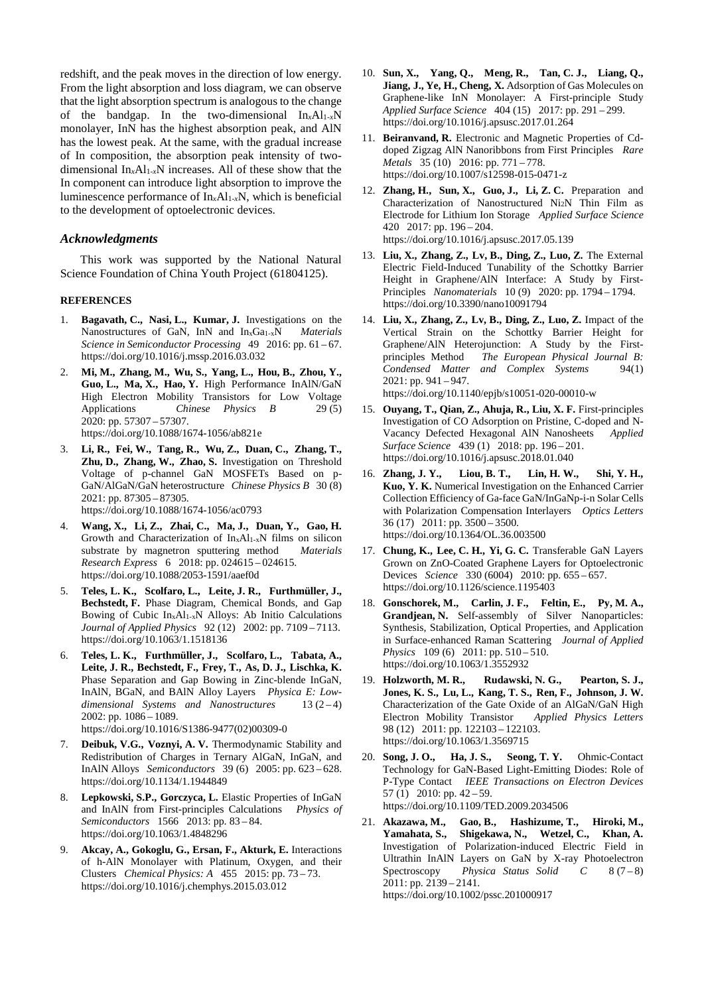redshift, and the peak moves in the direction of low energy. From the light absorption and loss diagram, we can observe that the light absorption spectrum is analogous to the change of the bandgap. In the two-dimensional  $In_xAl_{1-x}N$ monolayer, InN has the highest absorption peak, and AlN has the lowest peak. At the same, with the gradual increase of In composition, the absorption peak intensity of twodimensional In*x*Al1-*x*N increases. All of these show that the In component can introduce light absorption to improve the luminescence performance of  $In_xAl_{1-x}N$ , which is beneficial to the development of optoelectronic devices.

#### *Acknowledgments*

This work was supported by the National Natural Science Foundation of China Youth Project (61804125).

#### **REFERENCES**

- 1. **Bagavath, C., Nasi, L., Kumar, J.** Investigations on the Nanostructures of GaN, InN and In<sub>x</sub>Ga<sub>1-x</sub>N *Materials Science in Semiconductor Processing* 49 2016: pp. 61 – 67. https://doi.org/10.1016/j.mssp.2016.03.032
- 2. **Mi, M., Zhang, M., Wu, S., Yang, L., Hou, B., Zhou, Y., Guo, L., Ma, X., Hao, Y.** High Performance InAlN/GaN High Electron Mobility Transistors for Low Voltage<br>Applications Chinese Physics B 29(5) Chinese Physics B 29(5) 2020: pp. 57307 – 57307. https://doi.org/10.1088/1674-1056/ab821e
- 3. **Li, R., Fei, W., Tang, R., Wu, Z., Duan, C., Zhang, T., Zhu, D., Zhang, W., Zhao, S.** Investigation on Threshold Voltage of p-channel GaN MOSFETs Based on p-GaN/AlGaN/GaN heterostructure *Chinese Physics B* 30 (8) 2021: pp. 87305 – 87305. https://doi.org/10.1088/1674-1056/ac0793
- 4. **Wang, X., Li, Z., Zhai, C., Ma, J., Duan, Y., Gao, H.** Growth and Characterization of InxAl1-xN films on silicon substrate by magnetron sputtering method *Materials Research Express* 6 2018: pp. 024615 – 024615. https://doi.org/10.1088/2053-1591/aaef0d
- 5. **Teles, L. K., Scolfaro, L., Leite, J. R., Furthmüller, J., Bechstedt, F.** Phase Diagram, Chemical Bonds, and Gap Bowing of Cubic InxAl1-xN Alloys: Ab Initio Calculations *Journal of Applied Physics* 92 (12) 2002: pp. 7109 – 7113. https://doi.org/10.1063/1.1518136
- 6. **Teles, L. K., Furthmüller, J., Scolfaro, L., Tabata, A., Leite, J. R., Bechstedt, F., Frey, T., As, D. J., Lischka, K.** Phase Separation and Gap Bowing in Zinc-blende InGaN, InAlN, BGaN, and BAlN Alloy Layers *Physica E: Low*dimensional Systems and Nanostructures 13 (2-4) 2002: pp. 1086 – 1089. https://doi.org/10.1016/S1386-9477(02)00309-0
- 7. **Deibuk, V.G., Voznyi, A. V.** Thermodynamic Stability and Redistribution of Charges in Ternary AlGaN, InGaN, and InAlN Alloys *Semiconductors* 39 (6) 2005: pp. 623 – 628. https://doi.org/10.1134/1.1944849
- 8. **Lepkowski, S.P., Gorczyca, L.** Elastic Properties of InGaN and InAlN from First-principles Calculations *Physics of Semiconductors* 1566 2013: pp. 83 – 84. https://doi.org/10.1063/1.4848296
- 9. **Akcay, A., Gokoglu, G., Ersan, F., Akturk, E.** Interactions of h-AlN Monolayer with Platinum, Oxygen, and their Clusters *Chemical Physics: A* 455 2015: pp. 73 – 73. https://doi.org/10.1016/j.chemphys.2015.03.012
- 10. **Sun, X., Yang, Q., Meng, R., Tan, C. J., Liang, Q., Jiang, J., Ye, H., Cheng, X.** Adsorption of Gas Molecules on Graphene-like InN Monolayer: A First-principle Study *Applied Surface Science* 404 (15) 2017: pp. 291 – 299. https://doi.org/10.1016/j.apsusc.2017.01.264
- 11. **Beiranvand, R.** Electronic and Magnetic Properties of Cddoped Zigzag AlN Nanoribbons from First Principles *Rare Metals* 35 (10) 2016: pp. 771 – 778. https://doi.org/10.1007/s12598-015-0471-z
- 12. **Zhang, H., Sun, X., Guo, J., Li, Z. C.** Preparation and Characterization of Nanostructured Ni2N Thin Film as Electrode for Lithium Ion Storage *Applied Surface Science* 420 2017: pp. 196 – 204. https://doi.org/10.1016/j.apsusc.2017.05.139
- 13. **Liu, X., Zhang, Z., Lv, B., Ding, Z., Luo, Z.** The External Electric Field-Induced Tunability of the Schottky Barrier Height in Graphene/AlN Interface: A Study by First-Principles *Nanomaterials* 10 (9) 2020: pp. 1794 – 1794. https://doi.org/10.3390/nano10091794
- 14. **Liu, X., Zhang, Z., Lv, B., Ding, Z., Luo, Z.** Impact of the Vertical Strain on the Schottky Barrier Height for Graphene/AlN Heterojunction: A Study by the Firstprinciples Method *The European Physical Journal B: Condensed Matter and Complex Systems* 94(1) 2021: pp. 941 – 947. https://doi.org/10.1140/epjb/s10051-020-00010-w
- 15. **Ouyang, T., Qian, Z., Ahuja, R., Liu, X. F.** First-principles Investigation of CO Adsorption on Pristine, C-doped and N-Vacancy Defected Hexagonal AlN Nanosheets *Applied Surface Science* 439 (1) 2018: pp. 196 – 201. https://doi.org/10.1016/j.apsusc.2018.01.040
- 16. **Zhang, J. Y., Liou, B. T., Lin, H. W., Shi, Y. H., Kuo, Y. K.** Numerical Investigation on the Enhanced Carrier Collection Efficiency of Ga-face GaN/InGaNp-i-n Solar Cells with Polarization Compensation Interlayers *Optics Letters* 36 (17) 2011: pp. 3500 – 3500. https://doi.org/10.1364/OL.36.003500
- 17. **Chung, K., Lee, C. H., Yi, G. C.** Transferable GaN Layers Grown on ZnO-Coated Graphene Layers for Optoelectronic Devices *Science* 330 (6004) 2010: pp. 655 – 657. https://doi.org/10.1126/science.1195403
- 18. **Gonschorek, M., Carlin, J. F., Feltin, E., Py, M. A.,**  Grandjean, N. Self-assembly of Silver Nanoparticles: Synthesis, Stabilization, Optical Properties, and Application in Surface-enhanced Raman Scattering *Journal of Applied Physics* 109 (6) 2011: pp. 510 – 510. https://doi.org/10.1063/1.3552932
- 19. **Holzworth, M. R., Rudawski, N. G., Pearton, S. J., Jones, K. S., Lu, L., Kang, T. S., Ren, F., Johnson, J. W.** Characterization of the Gate Oxide of an AlGaN/GaN High Electron Mobility Transistor *Applied Physics Letters* 98 (12) 2011: pp. 122103 – 122103. https://doi.org/10.1063/1.3569715
- 20. **Song, J. O., Ha, J. S., Seong, T. Y.** Ohmic-Contact Technology for GaN-Based Light-Emitting Diodes: Role of P-Type Contact *IEEE Transactions on Electron Devices* 57 $(1)$  2010: pp. 42 – 59. https://doi.org/10.1109/TED.2009.2034506
- 21. **Akazawa, M., Gao, B., Hashizume, T., Hiroki, M., Yamahata, S., Shigekawa, N., Wetzel, C., Khan, A.** Investigation of Polarization-induced Electric Field in Ultrathin InAlN Layers on GaN by X-ray Photoelectron Spectroscopy *Physica Status Solid C* 8 (7 – 8) 2011: pp. 2139 – 2141. https://doi.org/10.1002/pssc.201000917